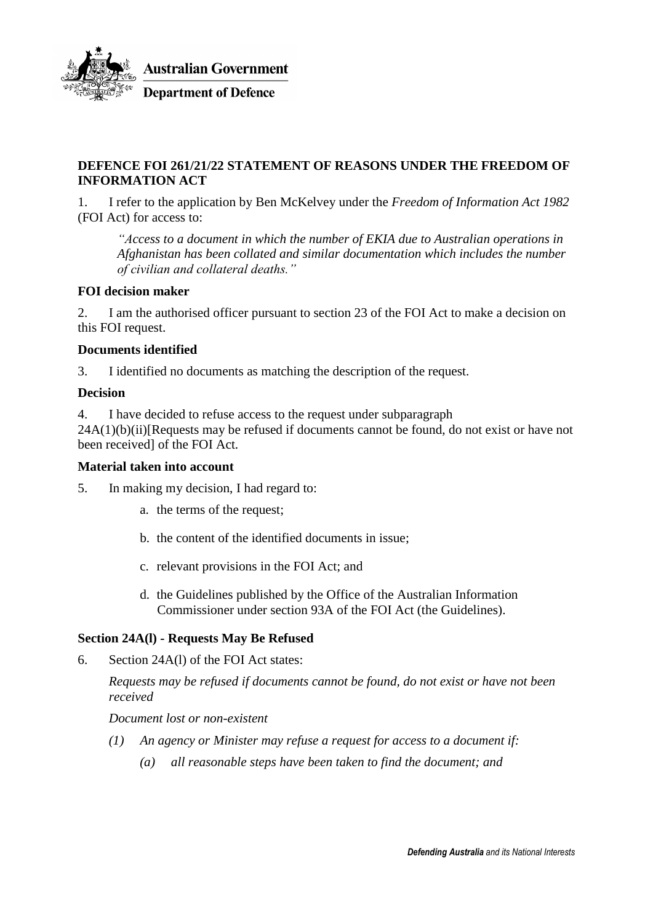

# **DEFENCE FOI 261/21/22 STATEMENT OF REASONS UNDER THE FREEDOM OF INFORMATION ACT**

1. I refer to the application by Ben McKelvey under the *Freedom of Information Act 1982* (FOI Act) for access to:

*"Access to a document in which the number of EKIA due to Australian operations in Afghanistan has been collated and similar documentation which includes the number of civilian and collateral deaths."*

# **FOI decision maker**

2. I am the authorised officer pursuant to section 23 of the FOI Act to make a decision on this FOI request.

### **Documents identified**

3. I identified no documents as matching the description of the request.

### **Decision**

4. I have decided to refuse access to the request under subparagraph

 $24A(1)(b)(ii)$ [Requests may be refused if documents cannot be found, do not exist or have not been received] of the FOI Act.

#### **Material taken into account**

5. In making my decision, I had regard to:

- a. the terms of the request;
- b. the content of the identified documents in issue;
- c. relevant provisions in the FOI Act; and
- d. the Guidelines published by the Office of the Australian Information Commissioner under section 93A of the FOI Act (the Guidelines).

# **Section 24A(l) - Requests May Be Refused**

6. Section 24A(l) of the FOI Act states:

*Requests may be refused if documents cannot be found, do not exist or have not been received*

*Document lost or non-existent*

- *(1) An agency or Minister may refuse a request for access to a document if:*
	- *(a) all reasonable steps have been taken to find the document; and*